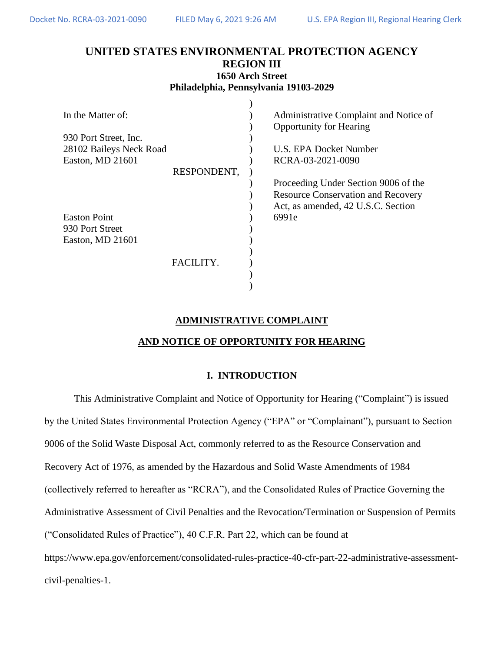# **UNITED STATES ENVIRONMENTAL PROTECTION AGENCY REGION III 1650 Arch Street**

| Philadelphia, Pennsylvania 19103-2029 |  |
|---------------------------------------|--|
|                                       |  |

| In the Matter of:       |             | Administrative Complaint and Notice of    |
|-------------------------|-------------|-------------------------------------------|
|                         |             | <b>Opportunity for Hearing</b>            |
| 930 Port Street, Inc.   |             |                                           |
| 28102 Baileys Neck Road |             | U.S. EPA Docket Number                    |
| Easton, MD 21601        |             | RCRA-03-2021-0090                         |
|                         | RESPONDENT, |                                           |
|                         |             | Proceeding Under Section 9006 of the      |
|                         |             | <b>Resource Conservation and Recovery</b> |
|                         |             | Act, as amended, 42 U.S.C. Section        |
| <b>Easton Point</b>     |             | 6991e                                     |
| 930 Port Street         |             |                                           |
| Easton, MD 21601        |             |                                           |
|                         |             |                                           |
|                         |             |                                           |
|                         | FACILITY.   |                                           |
|                         |             |                                           |
|                         |             |                                           |

# **ADMINISTRATIVE COMPLAINT**

# **AND NOTICE OF OPPORTUNITY FOR HEARING**

# **I. INTRODUCTION**

This Administrative Complaint and Notice of Opportunity for Hearing ("Complaint") is issued by the United States Environmental Protection Agency ("EPA" or "Complainant"), pursuant to Section 9006 of the Solid Waste Disposal Act, commonly referred to as the Resource Conservation and Recovery Act of 1976, as amended by the Hazardous and Solid Waste Amendments of 1984 (collectively referred to hereafter as "RCRA"), and the Consolidated Rules of Practice Governing the Administrative Assessment of Civil Penalties and the Revocation/Termination or Suspension of Permits ("Consolidated Rules of Practice"), 40 C.F.R. Part 22, which can be found at https://www.epa.gov/enforcement/consolidated-rules-practice-40-cfr-part-22-administrative-assessmentcivil-penalties-1.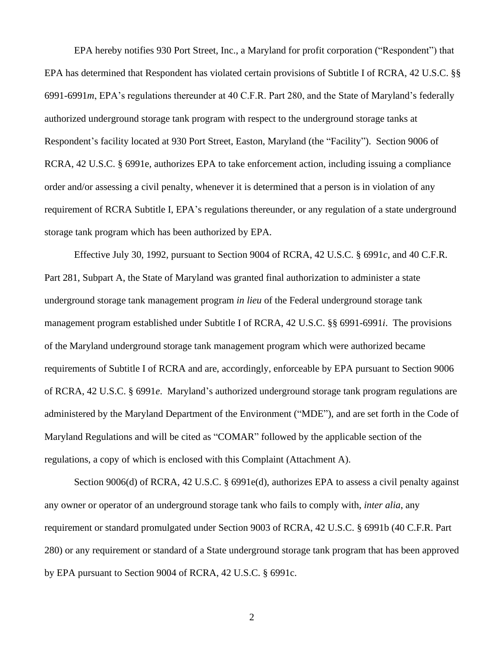EPA hereby notifies 930 Port Street, Inc., a Maryland for profit corporation ("Respondent") that EPA has determined that Respondent has violated certain provisions of Subtitle I of RCRA, 42 U.S.C. §§ 6991-6991*m*, EPA's regulations thereunder at 40 C.F.R. Part 280, and the State of Maryland's federally authorized underground storage tank program with respect to the underground storage tanks at Respondent's facility located at 930 Port Street, Easton, Maryland (the "Facility"). Section 9006 of RCRA, 42 U.S.C. § 6991e, authorizes EPA to take enforcement action, including issuing a compliance order and/or assessing a civil penalty, whenever it is determined that a person is in violation of any requirement of RCRA Subtitle I, EPA's regulations thereunder, or any regulation of a state underground storage tank program which has been authorized by EPA.

Effective July 30, 1992, pursuant to Section 9004 of RCRA, 42 U.S.C. § 6991*c*, and 40 C.F.R. Part 281, Subpart A, the State of Maryland was granted final authorization to administer a state underground storage tank management program *in lieu* of the Federal underground storage tank management program established under Subtitle I of RCRA, 42 U.S.C. §§ 6991-6991*i*. The provisions of the Maryland underground storage tank management program which were authorized became requirements of Subtitle I of RCRA and are, accordingly, enforceable by EPA pursuant to Section 9006 of RCRA, 42 U.S.C. § 6991*e*. Maryland's authorized underground storage tank program regulations are administered by the Maryland Department of the Environment ("MDE"), and are set forth in the Code of Maryland Regulations and will be cited as "COMAR" followed by the applicable section of the regulations, a copy of which is enclosed with this Complaint (Attachment A).

Section 9006(d) of RCRA, 42 U.S.C. § 6991e(d), authorizes EPA to assess a civil penalty against any owner or operator of an underground storage tank who fails to comply with, *inter alia*, any requirement or standard promulgated under Section 9003 of RCRA, 42 U.S.C. § 6991b (40 C.F.R. Part 280) or any requirement or standard of a State underground storage tank program that has been approved by EPA pursuant to Section 9004 of RCRA, 42 U.S.C. § 6991c.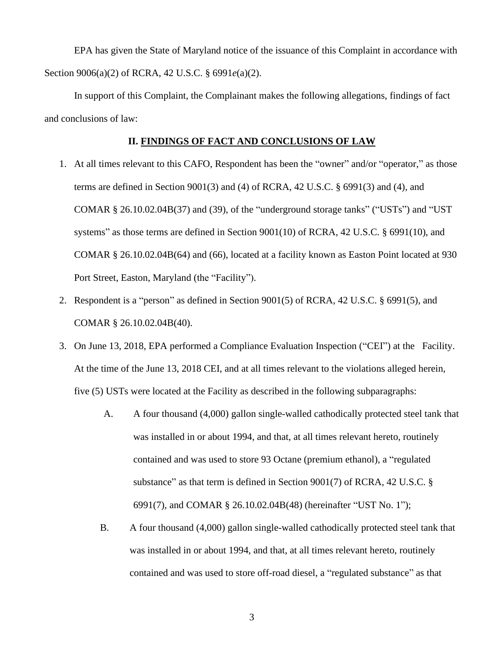EPA has given the State of Maryland notice of the issuance of this Complaint in accordance with Section 9006(a)(2) of RCRA, 42 U.S.C. § 6991*e*(a)(2).

In support of this Complaint, the Complainant makes the following allegations, findings of fact and conclusions of law:

# **II. FINDINGS OF FACT AND CONCLUSIONS OF LAW**

- 1. At all times relevant to this CAFO, Respondent has been the "owner" and/or "operator," as those terms are defined in Section 9001(3) and (4) of RCRA, 42 U.S.C. § 6991(3) and (4), and COMAR § 26.10.02.04B(37) and (39), of the "underground storage tanks" ("USTs") and "UST systems" as those terms are defined in Section 9001(10) of RCRA, 42 U.S.C. § 6991(10), and COMAR § 26.10.02.04B(64) and (66), located at a facility known as Easton Point located at 930 Port Street, Easton, Maryland (the "Facility").
- 2. Respondent is a "person" as defined in Section 9001(5) of RCRA, 42 U.S.C. § 6991(5), and COMAR § 26.10.02.04B(40).
- 3. On June 13, 2018, EPA performed a Compliance Evaluation Inspection ("CEI") at the Facility. At the time of the June 13, 2018 CEI, and at all times relevant to the violations alleged herein, five (5) USTs were located at the Facility as described in the following subparagraphs:
	- A. A four thousand (4,000) gallon single-walled cathodically protected steel tank that was installed in or about 1994, and that, at all times relevant hereto, routinely contained and was used to store 93 Octane (premium ethanol), a "regulated substance" as that term is defined in Section 9001(7) of RCRA, 42 U.S.C. § 6991(7), and COMAR § 26.10.02.04B(48) (hereinafter "UST No. 1");
	- B. A four thousand (4,000) gallon single-walled cathodically protected steel tank that was installed in or about 1994, and that, at all times relevant hereto, routinely contained and was used to store off-road diesel, a "regulated substance" as that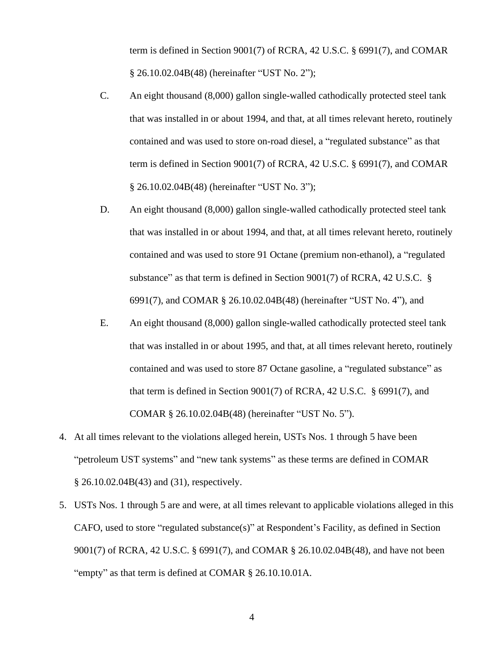term is defined in Section 9001(7) of RCRA, 42 U.S.C. § 6991(7), and COMAR § 26.10.02.04B(48) (hereinafter "UST No. 2");

- C. An eight thousand (8,000) gallon single-walled cathodically protected steel tank that was installed in or about 1994, and that, at all times relevant hereto, routinely contained and was used to store on-road diesel, a "regulated substance" as that term is defined in Section 9001(7) of RCRA, 42 U.S.C. § 6991(7), and COMAR § 26.10.02.04B(48) (hereinafter "UST No. 3");
- D. An eight thousand (8,000) gallon single-walled cathodically protected steel tank that was installed in or about 1994, and that, at all times relevant hereto, routinely contained and was used to store 91 Octane (premium non-ethanol), a "regulated substance" as that term is defined in Section 9001(7) of RCRA, 42 U.S.C. § 6991(7), and COMAR § 26.10.02.04B(48) (hereinafter "UST No. 4"), and
- E. An eight thousand (8,000) gallon single-walled cathodically protected steel tank that was installed in or about 1995, and that, at all times relevant hereto, routinely contained and was used to store 87 Octane gasoline, a "regulated substance" as that term is defined in Section 9001(7) of RCRA, 42 U.S.C. § 6991(7), and COMAR § 26.10.02.04B(48) (hereinafter "UST No. 5").
- 4. At all times relevant to the violations alleged herein, USTs Nos. 1 through 5 have been "petroleum UST systems" and "new tank systems" as these terms are defined in COMAR § 26.10.02.04B(43) and (31), respectively.
- 5. USTs Nos. 1 through 5 are and were, at all times relevant to applicable violations alleged in this CAFO, used to store "regulated substance(s)" at Respondent's Facility, as defined in Section 9001(7) of RCRA, 42 U.S.C. § 6991(7), and COMAR § 26.10.02.04B(48), and have not been "empty" as that term is defined at COMAR § 26.10.10.01A.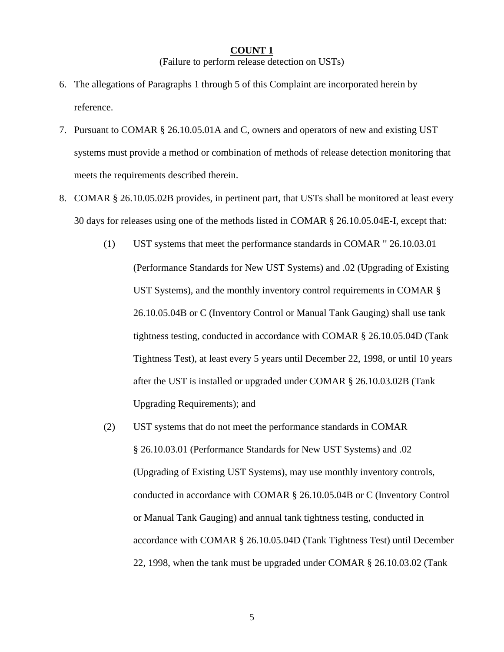#### **COUNT 1**

(Failure to perform release detection on USTs)

- 6. The allegations of Paragraphs 1 through 5 of this Complaint are incorporated herein by reference.
- 7. Pursuant to COMAR § 26.10.05.01A and C, owners and operators of new and existing UST systems must provide a method or combination of methods of release detection monitoring that meets the requirements described therein.
- 8. COMAR § 26.10.05.02B provides, in pertinent part, that USTs shall be monitored at least every 30 days for releases using one of the methods listed in COMAR § 26.10.05.04E-I, except that:
	- (1) UST systems that meet the performance standards in COMAR '' 26.10.03.01 (Performance Standards for New UST Systems) and .02 (Upgrading of Existing UST Systems), and the monthly inventory control requirements in COMAR § 26.10.05.04B or C (Inventory Control or Manual Tank Gauging) shall use tank tightness testing, conducted in accordance with COMAR § 26.10.05.04D (Tank Tightness Test), at least every 5 years until December 22, 1998, or until 10 years after the UST is installed or upgraded under COMAR § 26.10.03.02B (Tank Upgrading Requirements); and
	- (2) UST systems that do not meet the performance standards in COMAR § 26.10.03.01 (Performance Standards for New UST Systems) and .02 (Upgrading of Existing UST Systems), may use monthly inventory controls, conducted in accordance with COMAR § 26.10.05.04B or C (Inventory Control or Manual Tank Gauging) and annual tank tightness testing, conducted in accordance with COMAR § 26.10.05.04D (Tank Tightness Test) until December 22, 1998, when the tank must be upgraded under COMAR § 26.10.03.02 (Tank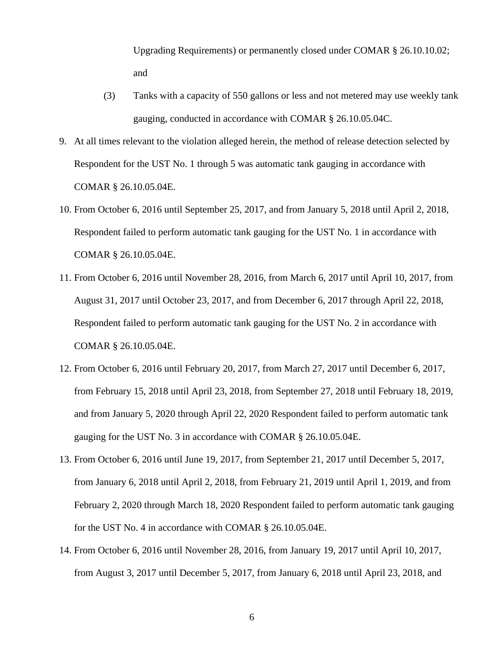Upgrading Requirements) or permanently closed under COMAR § 26.10.10.02; and

- (3) Tanks with a capacity of 550 gallons or less and not metered may use weekly tank gauging, conducted in accordance with COMAR § 26.10.05.04C.
- 9. At all times relevant to the violation alleged herein, the method of release detection selected by Respondent for the UST No. 1 through 5 was automatic tank gauging in accordance with COMAR § 26.10.05.04E.
- 10. From October 6, 2016 until September 25, 2017, and from January 5, 2018 until April 2, 2018, Respondent failed to perform automatic tank gauging for the UST No. 1 in accordance with COMAR § 26.10.05.04E.
- 11. From October 6, 2016 until November 28, 2016, from March 6, 2017 until April 10, 2017, from August 31, 2017 until October 23, 2017, and from December 6, 2017 through April 22, 2018, Respondent failed to perform automatic tank gauging for the UST No. 2 in accordance with COMAR § 26.10.05.04E.
- 12. From October 6, 2016 until February 20, 2017, from March 27, 2017 until December 6, 2017, from February 15, 2018 until April 23, 2018, from September 27, 2018 until February 18, 2019, and from January 5, 2020 through April 22, 2020 Respondent failed to perform automatic tank gauging for the UST No. 3 in accordance with COMAR § 26.10.05.04E.
- 13. From October 6, 2016 until June 19, 2017, from September 21, 2017 until December 5, 2017, from January 6, 2018 until April 2, 2018, from February 21, 2019 until April 1, 2019, and from February 2, 2020 through March 18, 2020 Respondent failed to perform automatic tank gauging for the UST No. 4 in accordance with COMAR § 26.10.05.04E.
- 14. From October 6, 2016 until November 28, 2016, from January 19, 2017 until April 10, 2017, from August 3, 2017 until December 5, 2017, from January 6, 2018 until April 23, 2018, and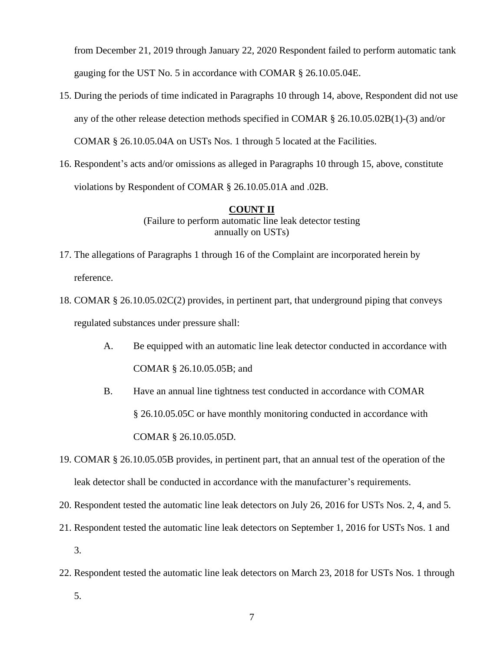from December 21, 2019 through January 22, 2020 Respondent failed to perform automatic tank gauging for the UST No. 5 in accordance with COMAR § 26.10.05.04E.

- 15. During the periods of time indicated in Paragraphs 10 through 14, above, Respondent did not use any of the other release detection methods specified in COMAR § 26.10.05.02B(1)-(3) and/or COMAR § 26.10.05.04A on USTs Nos. 1 through 5 located at the Facilities.
- 16. Respondent's acts and/or omissions as alleged in Paragraphs 10 through 15, above, constitute violations by Respondent of COMAR § 26.10.05.01A and .02B.

#### **COUNT II**

(Failure to perform automatic line leak detector testing annually on USTs)

- 17. The allegations of Paragraphs 1 through 16 of the Complaint are incorporated herein by reference.
- 18. COMAR § 26.10.05.02C(2) provides, in pertinent part, that underground piping that conveys regulated substances under pressure shall:
	- A. Be equipped with an automatic line leak detector conducted in accordance with COMAR § 26.10.05.05B; and
	- B. Have an annual line tightness test conducted in accordance with COMAR § 26.10.05.05C or have monthly monitoring conducted in accordance with COMAR § 26.10.05.05D.
- 19. COMAR § 26.10.05.05B provides, in pertinent part, that an annual test of the operation of the leak detector shall be conducted in accordance with the manufacturer's requirements.
- 20. Respondent tested the automatic line leak detectors on July 26, 2016 for USTs Nos. 2, 4, and 5.
- 21. Respondent tested the automatic line leak detectors on September 1, 2016 for USTs Nos. 1 and 3.
- 22. Respondent tested the automatic line leak detectors on March 23, 2018 for USTs Nos. 1 through
	- 5.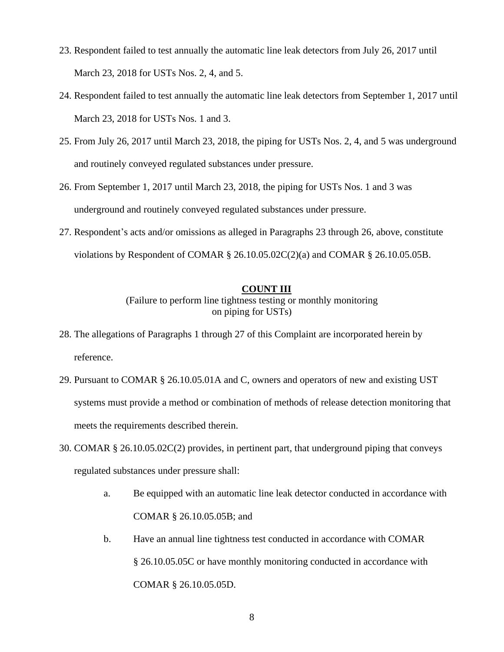- 23. Respondent failed to test annually the automatic line leak detectors from July 26, 2017 until March 23, 2018 for USTs Nos. 2, 4, and 5.
- 24. Respondent failed to test annually the automatic line leak detectors from September 1, 2017 until March 23, 2018 for USTs Nos. 1 and 3.
- 25. From July 26, 2017 until March 23, 2018, the piping for USTs Nos. 2, 4, and 5 was underground and routinely conveyed regulated substances under pressure.
- 26. From September 1, 2017 until March 23, 2018, the piping for USTs Nos. 1 and 3 was underground and routinely conveyed regulated substances under pressure.
- 27. Respondent's acts and/or omissions as alleged in Paragraphs 23 through 26, above, constitute violations by Respondent of COMAR  $\S$  26.10.05.02C(2)(a) and COMAR  $\S$  26.10.05.05B.

## **COUNT III**

(Failure to perform line tightness testing or monthly monitoring on piping for USTs)

- 28. The allegations of Paragraphs 1 through 27 of this Complaint are incorporated herein by reference.
- 29. Pursuant to COMAR § 26.10.05.01A and C, owners and operators of new and existing UST systems must provide a method or combination of methods of release detection monitoring that meets the requirements described therein.
- 30. COMAR § 26.10.05.02C(2) provides, in pertinent part, that underground piping that conveys regulated substances under pressure shall:
	- a. Be equipped with an automatic line leak detector conducted in accordance with COMAR § 26.10.05.05B; and
	- b. Have an annual line tightness test conducted in accordance with COMAR § 26.10.05.05C or have monthly monitoring conducted in accordance with COMAR § 26.10.05.05D.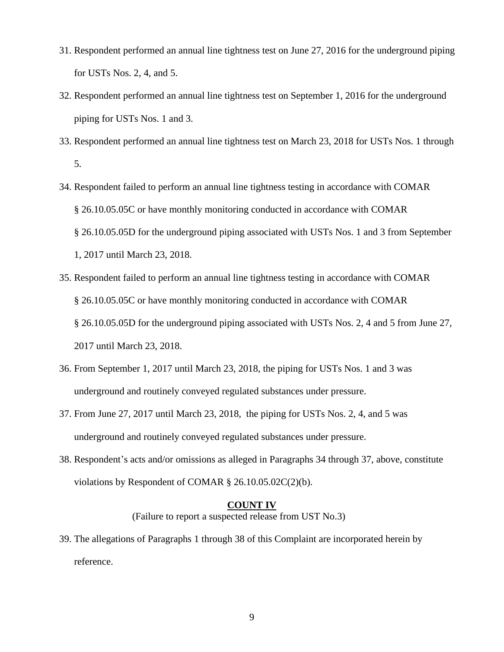- 31. Respondent performed an annual line tightness test on June 27, 2016 for the underground piping for USTs Nos. 2, 4, and 5.
- 32. Respondent performed an annual line tightness test on September 1, 2016 for the underground piping for USTs Nos. 1 and 3.
- 33. Respondent performed an annual line tightness test on March 23, 2018 for USTs Nos. 1 through 5.
- 34. Respondent failed to perform an annual line tightness testing in accordance with COMAR § 26.10.05.05C or have monthly monitoring conducted in accordance with COMAR § 26.10.05.05D for the underground piping associated with USTs Nos. 1 and 3 from September 1, 2017 until March 23, 2018.
- 35. Respondent failed to perform an annual line tightness testing in accordance with COMAR § 26.10.05.05C or have monthly monitoring conducted in accordance with COMAR § 26.10.05.05D for the underground piping associated with USTs Nos. 2, 4 and 5 from June 27, 2017 until March 23, 2018.
- 36. From September 1, 2017 until March 23, 2018, the piping for USTs Nos. 1 and 3 was underground and routinely conveyed regulated substances under pressure.
- 37. From June 27, 2017 until March 23, 2018, the piping for USTs Nos. 2, 4, and 5 was underground and routinely conveyed regulated substances under pressure.
- 38. Respondent's acts and/or omissions as alleged in Paragraphs 34 through 37, above, constitute violations by Respondent of COMAR § 26.10.05.02C(2)(b).

# **COUNT IV**

(Failure to report a suspected release from UST No.3)

39. The allegations of Paragraphs 1 through 38 of this Complaint are incorporated herein by reference.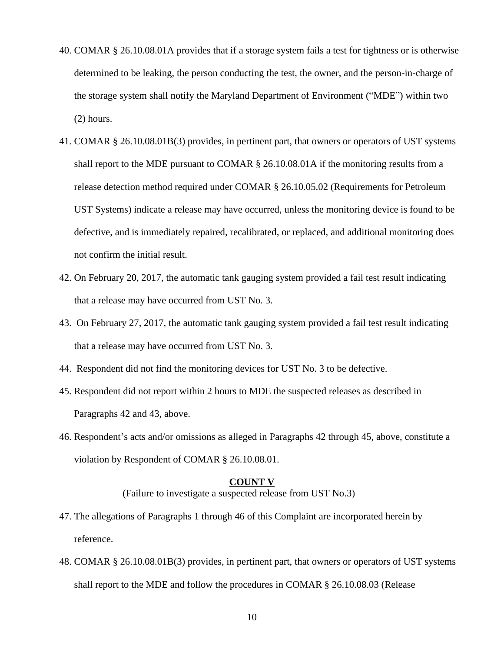- 40. COMAR § 26.10.08.01A provides that if a storage system fails a test for tightness or is otherwise determined to be leaking, the person conducting the test, the owner, and the person-in-charge of the storage system shall notify the Maryland Department of Environment ("MDE") within two (2) hours.
- 41. COMAR § 26.10.08.01B(3) provides, in pertinent part, that owners or operators of UST systems shall report to the MDE pursuant to COMAR § 26.10.08.01A if the monitoring results from a release detection method required under COMAR § 26.10.05.02 (Requirements for Petroleum UST Systems) indicate a release may have occurred, unless the monitoring device is found to be defective, and is immediately repaired, recalibrated, or replaced, and additional monitoring does not confirm the initial result.
- 42. On February 20, 2017, the automatic tank gauging system provided a fail test result indicating that a release may have occurred from UST No. 3.
- 43. On February 27, 2017, the automatic tank gauging system provided a fail test result indicating that a release may have occurred from UST No. 3.
- 44. Respondent did not find the monitoring devices for UST No. 3 to be defective.
- 45. Respondent did not report within 2 hours to MDE the suspected releases as described in Paragraphs 42 and 43, above.
- 46. Respondent's acts and/or omissions as alleged in Paragraphs 42 through 45, above, constitute a violation by Respondent of COMAR § 26.10.08.01.

#### **COUNT V**

(Failure to investigate a suspected release from UST No.3)

- 47. The allegations of Paragraphs 1 through 46 of this Complaint are incorporated herein by reference.
- 48. COMAR § 26.10.08.01B(3) provides, in pertinent part, that owners or operators of UST systems shall report to the MDE and follow the procedures in COMAR § 26.10.08.03 (Release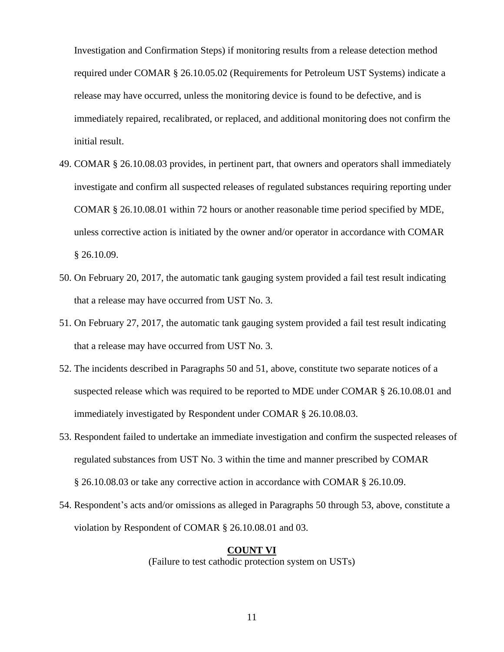Investigation and Confirmation Steps) if monitoring results from a release detection method required under COMAR § 26.10.05.02 (Requirements for Petroleum UST Systems) indicate a release may have occurred, unless the monitoring device is found to be defective, and is immediately repaired, recalibrated, or replaced, and additional monitoring does not confirm the initial result.

- 49. COMAR § 26.10.08.03 provides, in pertinent part, that owners and operators shall immediately investigate and confirm all suspected releases of regulated substances requiring reporting under COMAR § 26.10.08.01 within 72 hours or another reasonable time period specified by MDE, unless corrective action is initiated by the owner and/or operator in accordance with COMAR § 26.10.09.
- 50. On February 20, 2017, the automatic tank gauging system provided a fail test result indicating that a release may have occurred from UST No. 3.
- 51. On February 27, 2017, the automatic tank gauging system provided a fail test result indicating that a release may have occurred from UST No. 3.
- 52. The incidents described in Paragraphs 50 and 51, above, constitute two separate notices of a suspected release which was required to be reported to MDE under COMAR § 26.10.08.01 and immediately investigated by Respondent under COMAR § 26.10.08.03.
- 53. Respondent failed to undertake an immediate investigation and confirm the suspected releases of regulated substances from UST No. 3 within the time and manner prescribed by COMAR § 26.10.08.03 or take any corrective action in accordance with COMAR § 26.10.09.
- 54. Respondent's acts and/or omissions as alleged in Paragraphs 50 through 53, above, constitute a violation by Respondent of COMAR § 26.10.08.01 and 03.

# **COUNT VI**

(Failure to test cathodic protection system on USTs)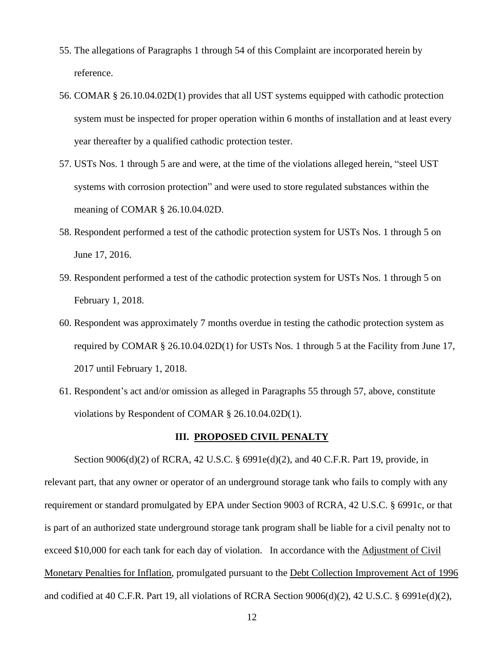- 55. The allegations of Paragraphs 1 through 54 of this Complaint are incorporated herein by reference.
- 56. COMAR § 26.10.04.02D(1) provides that all UST systems equipped with cathodic protection system must be inspected for proper operation within 6 months of installation and at least every year thereafter by a qualified cathodic protection tester.
- 57. USTs Nos. 1 through 5 are and were, at the time of the violations alleged herein, "steel UST systems with corrosion protection" and were used to store regulated substances within the meaning of COMAR § 26.10.04.02D.
- 58. Respondent performed a test of the cathodic protection system for USTs Nos. 1 through 5 on June 17, 2016.
- 59. Respondent performed a test of the cathodic protection system for USTs Nos. 1 through 5 on February 1, 2018.
- 60. Respondent was approximately 7 months overdue in testing the cathodic protection system as required by COMAR § 26.10.04.02D(1) for USTs Nos. 1 through 5 at the Facility from June 17, 2017 until February 1, 2018.
- 61. Respondent's act and/or omission as alleged in Paragraphs 55 through 57, above, constitute violations by Respondent of COMAR § 26.10.04.02D(1).

## **III. PROPOSED CIVIL PENALTY**

Section 9006(d)(2) of RCRA, 42 U.S.C. § 6991e(d)(2), and 40 C.F.R. Part 19, provide, in relevant part, that any owner or operator of an underground storage tank who fails to comply with any requirement or standard promulgated by EPA under Section 9003 of RCRA, 42 U.S.C. § 6991c, or that is part of an authorized state underground storage tank program shall be liable for a civil penalty not to exceed \$10,000 for each tank for each day of violation. In accordance with the Adjustment of Civil Monetary Penalties for Inflation, promulgated pursuant to the Debt Collection Improvement Act of 1996 and codified at 40 C.F.R. Part 19, all violations of RCRA Section 9006(d)(2), 42 U.S.C. § 6991e(d)(2),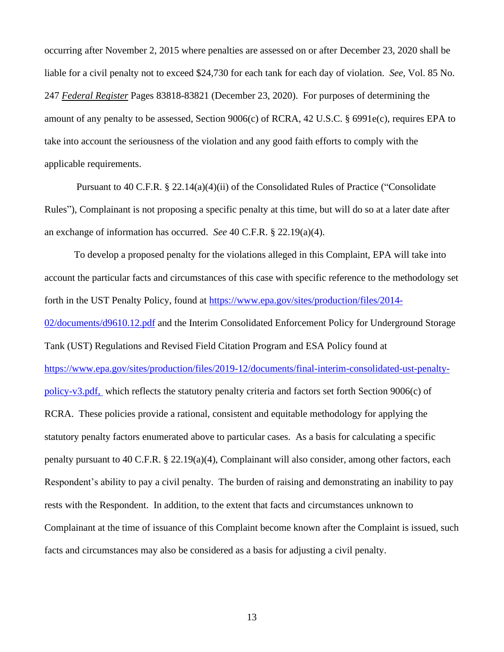occurring after November 2, 2015 where penalties are assessed on or after December 23, 2020 shall be liable for a civil penalty not to exceed \$24,730 for each tank for each day of violation. *See,* Vol. 85 No. 247 *Federal Register* Pages 83818-83821 (December 23, 2020). For purposes of determining the amount of any penalty to be assessed, Section 9006(c) of RCRA, 42 U.S.C. § 6991e(c), requires EPA to take into account the seriousness of the violation and any good faith efforts to comply with the applicable requirements.

Pursuant to 40 C.F.R. § 22.14(a)(4)(ii) of the Consolidated Rules of Practice ("Consolidate Rules"), Complainant is not proposing a specific penalty at this time, but will do so at a later date after an exchange of information has occurred. *See* 40 C.F.R. § 22.19(a)(4).

To develop a proposed penalty for the violations alleged in this Complaint, EPA will take into account the particular facts and circumstances of this case with specific reference to the methodology set forth in the UST Penalty Policy, found at [https://www.epa.gov/sites/production/files/2014-](https://www.epa.gov/sites/production/files/2014-02/documents/d9610.12.pdf) [02/documents/d9610.12.pdf](https://www.epa.gov/sites/production/files/2014-02/documents/d9610.12.pdf) and the Interim Consolidated Enforcement Policy for Underground Storage Tank (UST) Regulations and Revised Field Citation Program and ESA Policy found at [https://www.epa.gov/sites/production/files/2019-12/documents/final-interim-consolidated-ust-penalty](https://www.epa.gov/sites/production/files/2019-12/documents/final-interim-consolidated-ust-penalty-policy-v3.pdf)[policy-v3.pdf,](https://www.epa.gov/sites/production/files/2019-12/documents/final-interim-consolidated-ust-penalty-policy-v3.pdf) which reflects the statutory penalty criteria and factors set forth Section 9006(c) of RCRA. These policies provide a rational, consistent and equitable methodology for applying the statutory penalty factors enumerated above to particular cases. As a basis for calculating a specific penalty pursuant to 40 C.F.R. § 22.19(a)(4), Complainant will also consider, among other factors, each Respondent's ability to pay a civil penalty. The burden of raising and demonstrating an inability to pay rests with the Respondent. In addition, to the extent that facts and circumstances unknown to Complainant at the time of issuance of this Complaint become known after the Complaint is issued, such facts and circumstances may also be considered as a basis for adjusting a civil penalty.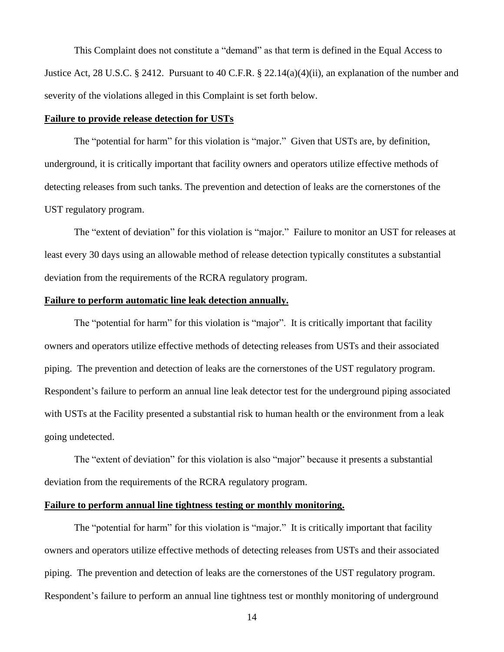This Complaint does not constitute a "demand" as that term is defined in the Equal Access to Justice Act, 28 U.S.C. § 2412. Pursuant to 40 C.F.R. § 22.14(a)(4)(ii), an explanation of the number and severity of the violations alleged in this Complaint is set forth below.

### **Failure to provide release detection for USTs**

The "potential for harm" for this violation is "major." Given that USTs are, by definition, underground, it is critically important that facility owners and operators utilize effective methods of detecting releases from such tanks. The prevention and detection of leaks are the cornerstones of the UST regulatory program.

The "extent of deviation" for this violation is "major." Failure to monitor an UST for releases at least every 30 days using an allowable method of release detection typically constitutes a substantial deviation from the requirements of the RCRA regulatory program.

## **Failure to perform automatic line leak detection annually.**

The "potential for harm" for this violation is "major". It is critically important that facility owners and operators utilize effective methods of detecting releases from USTs and their associated piping. The prevention and detection of leaks are the cornerstones of the UST regulatory program. Respondent's failure to perform an annual line leak detector test for the underground piping associated with USTs at the Facility presented a substantial risk to human health or the environment from a leak going undetected.

The "extent of deviation" for this violation is also "major" because it presents a substantial deviation from the requirements of the RCRA regulatory program.

# **Failure to perform annual line tightness testing or monthly monitoring.**

The "potential for harm" for this violation is "major." It is critically important that facility owners and operators utilize effective methods of detecting releases from USTs and their associated piping. The prevention and detection of leaks are the cornerstones of the UST regulatory program. Respondent's failure to perform an annual line tightness test or monthly monitoring of underground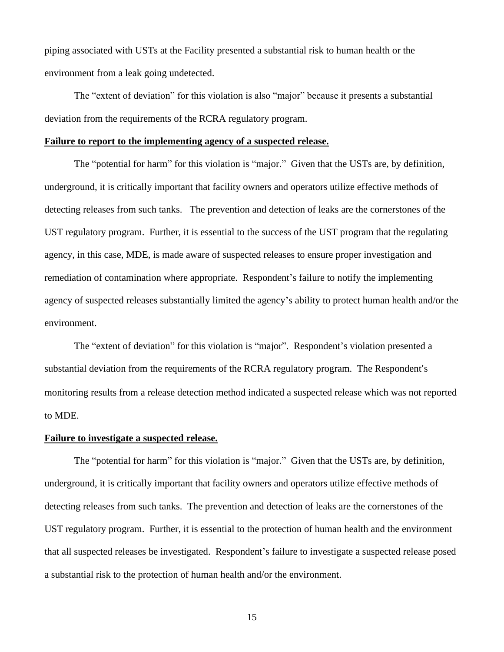piping associated with USTs at the Facility presented a substantial risk to human health or the environment from a leak going undetected.

The "extent of deviation" for this violation is also "major" because it presents a substantial deviation from the requirements of the RCRA regulatory program.

#### **Failure to report to the implementing agency of a suspected release.**

The "potential for harm" for this violation is "major." Given that the USTs are, by definition, underground, it is critically important that facility owners and operators utilize effective methods of detecting releases from such tanks. The prevention and detection of leaks are the cornerstones of the UST regulatory program. Further, it is essential to the success of the UST program that the regulating agency, in this case, MDE, is made aware of suspected releases to ensure proper investigation and remediation of contamination where appropriate. Respondent's failure to notify the implementing agency of suspected releases substantially limited the agency's ability to protect human health and/or the environment.

The "extent of deviation" for this violation is "major". Respondent's violation presented a substantial deviation from the requirements of the RCRA regulatory program. The Respondent's monitoring results from a release detection method indicated a suspected release which was not reported to MDE.

#### **Failure to investigate a suspected release.**

The "potential for harm" for this violation is "major." Given that the USTs are, by definition, underground, it is critically important that facility owners and operators utilize effective methods of detecting releases from such tanks. The prevention and detection of leaks are the cornerstones of the UST regulatory program. Further, it is essential to the protection of human health and the environment that all suspected releases be investigated. Respondent's failure to investigate a suspected release posed a substantial risk to the protection of human health and/or the environment.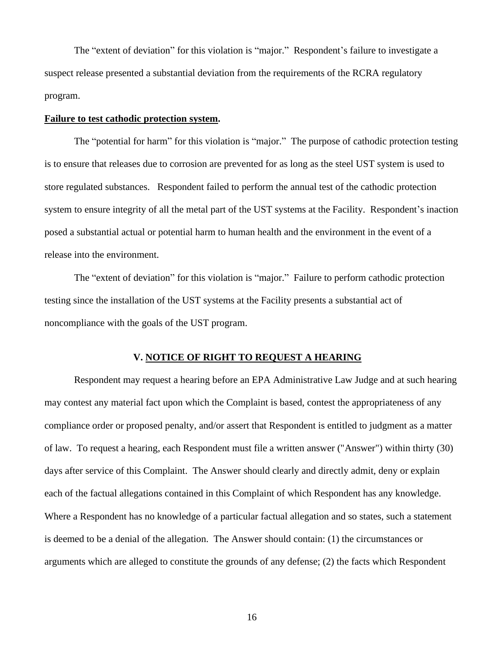The "extent of deviation" for this violation is "major." Respondent's failure to investigate a suspect release presented a substantial deviation from the requirements of the RCRA regulatory program.

### **Failure to test cathodic protection system.**

The "potential for harm" for this violation is "major." The purpose of cathodic protection testing is to ensure that releases due to corrosion are prevented for as long as the steel UST system is used to store regulated substances. Respondent failed to perform the annual test of the cathodic protection system to ensure integrity of all the metal part of the UST systems at the Facility. Respondent's inaction posed a substantial actual or potential harm to human health and the environment in the event of a release into the environment.

The "extent of deviation" for this violation is "major." Failure to perform cathodic protection testing since the installation of the UST systems at the Facility presents a substantial act of noncompliance with the goals of the UST program.

## **V. NOTICE OF RIGHT TO REQUEST A HEARING**

Respondent may request a hearing before an EPA Administrative Law Judge and at such hearing may contest any material fact upon which the Complaint is based, contest the appropriateness of any compliance order or proposed penalty, and/or assert that Respondent is entitled to judgment as a matter of law. To request a hearing, each Respondent must file a written answer ("Answer") within thirty (30) days after service of this Complaint. The Answer should clearly and directly admit, deny or explain each of the factual allegations contained in this Complaint of which Respondent has any knowledge. Where a Respondent has no knowledge of a particular factual allegation and so states, such a statement is deemed to be a denial of the allegation. The Answer should contain: (1) the circumstances or arguments which are alleged to constitute the grounds of any defense; (2) the facts which Respondent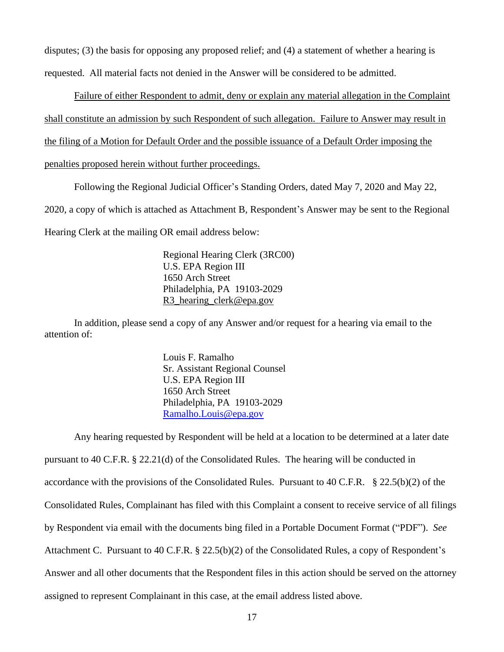disputes; (3) the basis for opposing any proposed relief; and (4) a statement of whether a hearing is requested. All material facts not denied in the Answer will be considered to be admitted.

Failure of either Respondent to admit, deny or explain any material allegation in the Complaint shall constitute an admission by such Respondent of such allegation. Failure to Answer may result in the filing of a Motion for Default Order and the possible issuance of a Default Order imposing the

penalties proposed herein without further proceedings.

Following the Regional Judicial Officer's Standing Orders, dated May 7, 2020 and May 22,

2020, a copy of which is attached as Attachment B, Respondent's Answer may be sent to the Regional

Hearing Clerk at the mailing OR email address below:

Regional Hearing Clerk (3RC00) U.S. EPA Region III 1650 Arch Street Philadelphia, PA 19103-2029 R3\_hearing\_clerk@epa.gov

In addition, please send a copy of any Answer and/or request for a hearing via email to the attention of:

> Louis F. Ramalho Sr. Assistant Regional Counsel U.S. EPA Region III 1650 Arch Street Philadelphia, PA 19103-2029 [Ramalho.Louis@epa.gov](mailto:Ramalho.Louis@epa.gov)

Any hearing requested by Respondent will be held at a location to be determined at a later date pursuant to 40 C.F.R. § 22.21(d) of the Consolidated Rules. The hearing will be conducted in accordance with the provisions of the Consolidated Rules. Pursuant to 40 C.F.R. § 22.5(b)(2) of the Consolidated Rules, Complainant has filed with this Complaint a consent to receive service of all filings by Respondent via email with the documents bing filed in a Portable Document Format ("PDF"). *See* Attachment C. Pursuant to 40 C.F.R. § 22.5(b)(2) of the Consolidated Rules, a copy of Respondent's Answer and all other documents that the Respondent files in this action should be served on the attorney assigned to represent Complainant in this case, at the email address listed above.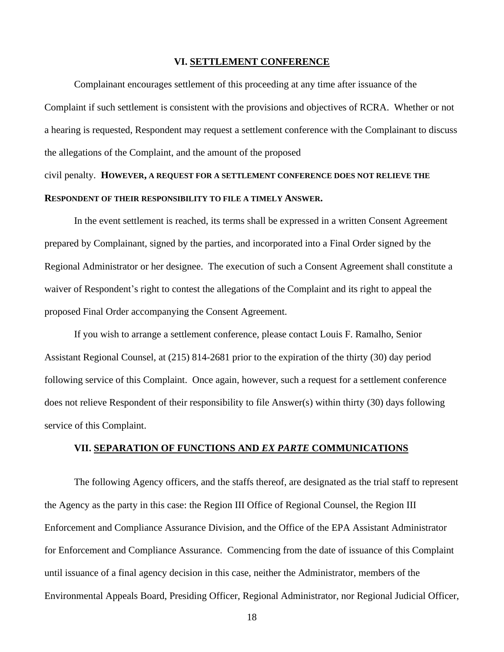#### **VI. SETTLEMENT CONFERENCE**

Complainant encourages settlement of this proceeding at any time after issuance of the Complaint if such settlement is consistent with the provisions and objectives of RCRA. Whether or not a hearing is requested, Respondent may request a settlement conference with the Complainant to discuss the allegations of the Complaint, and the amount of the proposed civil penalty. **HOWEVER, A REQUEST FOR A SETTLEMENT CONFERENCE DOES NOT RELIEVE THE RESPONDENT OF THEIR RESPONSIBILITY TO FILE A TIMELY ANSWER.**

In the event settlement is reached, its terms shall be expressed in a written Consent Agreement prepared by Complainant, signed by the parties, and incorporated into a Final Order signed by the Regional Administrator or her designee. The execution of such a Consent Agreement shall constitute a waiver of Respondent's right to contest the allegations of the Complaint and its right to appeal the proposed Final Order accompanying the Consent Agreement.

If you wish to arrange a settlement conference, please contact Louis F. Ramalho, Senior Assistant Regional Counsel, at (215) 814-2681 prior to the expiration of the thirty (30) day period following service of this Complaint. Once again, however, such a request for a settlement conference does not relieve Respondent of their responsibility to file Answer(s) within thirty (30) days following service of this Complaint.

## **VII. SEPARATION OF FUNCTIONS AND** *EX PARTE* **COMMUNICATIONS**

The following Agency officers, and the staffs thereof, are designated as the trial staff to represent the Agency as the party in this case: the Region III Office of Regional Counsel, the Region III Enforcement and Compliance Assurance Division, and the Office of the EPA Assistant Administrator for Enforcement and Compliance Assurance. Commencing from the date of issuance of this Complaint until issuance of a final agency decision in this case, neither the Administrator, members of the Environmental Appeals Board, Presiding Officer, Regional Administrator, nor Regional Judicial Officer,